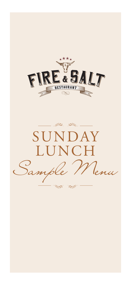

第三 答 SUNDAY LUNCH *Sample Menu*